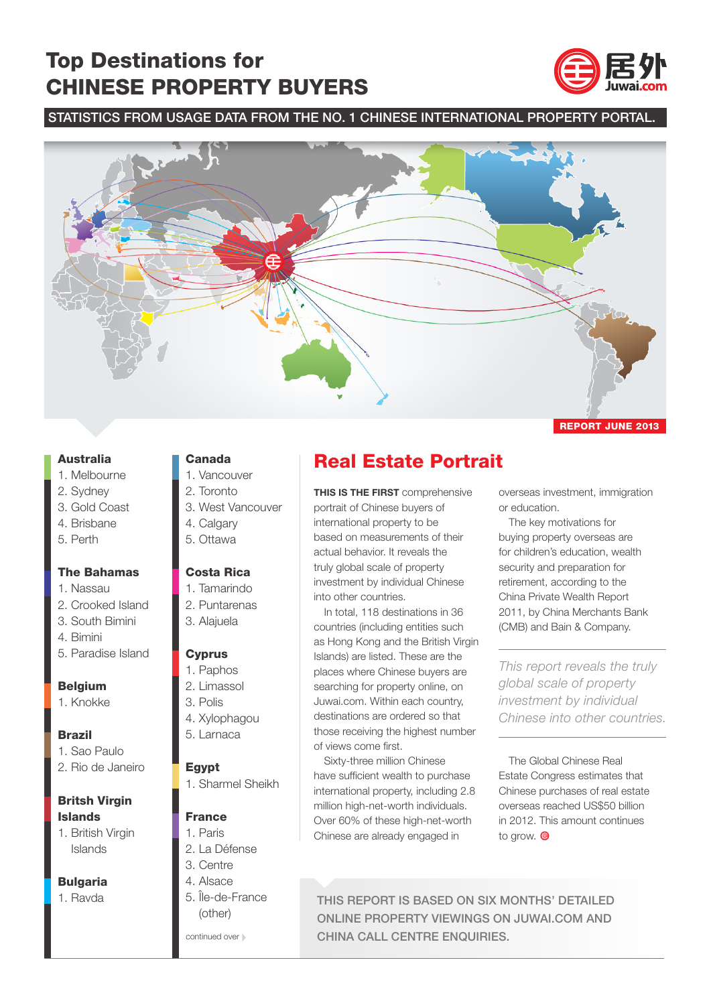## Top Destinations for CHINESE PROPERTY BUYERS



#### STATISTICS FROM USAGE DATA FROM THE NO. 1 CHINESE INTERNATIONAL PROPERTY PORTAL.



#### Australia

- 1. Melbourne
- 2. Sydney
- 3. Gold Coast
- 4. Brisbane
- 5. Perth

#### The Bahamas

- 1. Nassau
- 2. Crooked Island
- 3. South Bimini
- 4. Bimini
- 5. Paradise Island

#### Belgium

1. Knokke

#### Brazil

- 1. Sao Paulo
- 2. Rio de Janeiro

## Britsh Virgin Islands

1. British Virgin Islands

#### **Bulgaria**

1. Ravda

#### Canada

- 1. Vancouver
- 2. Toronto
- 3. West Vancouver
- 4. Calgary
- 5. Ottawa

#### Costa Rica

- 1. Tamarindo
- 2. Puntarenas
- 3. Alajuela

#### **Cyprus**

- 1. Paphos
- 2. Limassol
- 3. Polis
- 4. Xylophagou
- 5. Larnaca

#### **Egypt**

1. Sharmel Sheikh

#### France

- 1. Paris
- 2. La Défense
- 3. Centre
- 4. Alsace 5. Île-de-France
- (other)

continued over  $\mathbb B$ 

## Real Estate Portrait

**THIS IS THE FIRST** comprehensive portrait of Chinese buyers of international property to be based on measurements of their actual behavior. It reveals the truly global scale of property investment by individual Chinese into other countries.

In total, 118 destinations in 36 countries (including entities such as Hong Kong and the British Virgin Islands) are listed. These are the places where Chinese buyers are searching for property online, on Juwai.com. Within each country, destinations are ordered so that those receiving the highest number of views come first.

Sixty-three million Chinese have sufficient wealth to purchase international property, including 2.8 million high-net-worth individuals. Over 60% of these high-net-worth Chinese are already engaged in

overseas investment, immigration or education.

The key motivations for buying property overseas are for children's education, wealth security and preparation for retirement, according to the China Private Wealth Report 2011, by China Merchants Bank (CMB) and Bain & Company.

*This report reveals the truly global scale of property investment by individual Chinese into other countries.*

The Global Chinese Real Estate Congress estimates that Chinese purchases of real estate overseas reached US\$50 billion in 2012. This amount continues to grow.  $\bigcirc$ 

THIS REPORT IS BASED ON SIX MONTHS' DETAILED ONLINE PROPERTY VIEWINGS ON JUWAI.COM AND CHINA CALL CENTRE ENQUIRIES.